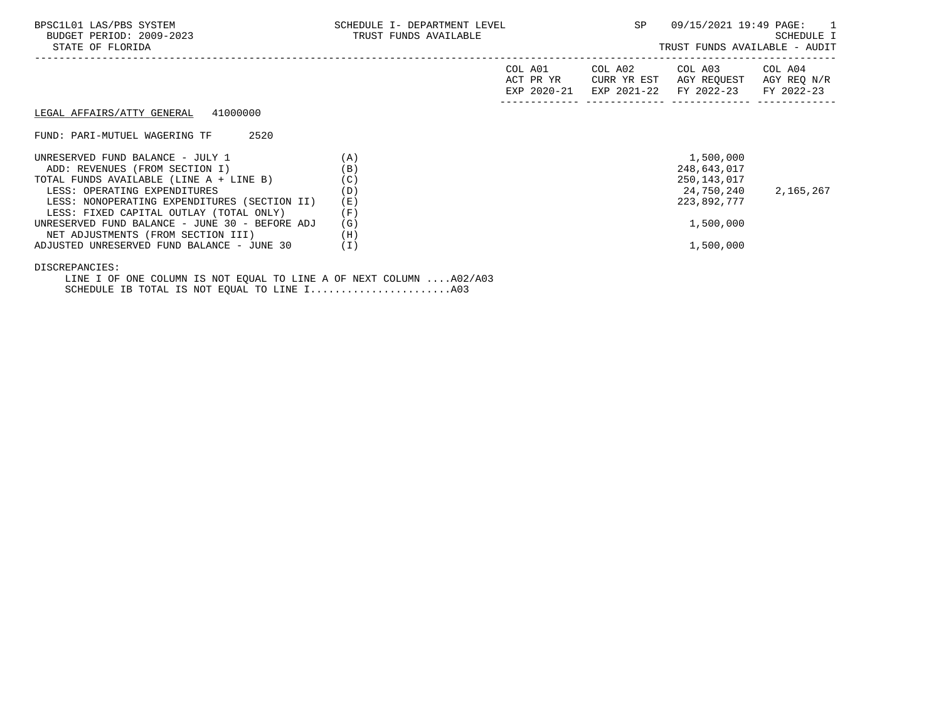| TRUST FUNDS AVAILABLE | SP<br>09/15/2021 19:49 PAGE: 1<br><b>SCHEDULE I</b><br>TRUST FUNDS AVAILABLE - AUDIT |                              |           |                                                                                                                                                              |
|-----------------------|--------------------------------------------------------------------------------------|------------------------------|-----------|--------------------------------------------------------------------------------------------------------------------------------------------------------------|
|                       | COL A01                                                                              |                              |           | COL A04<br>AGY REQ N/R                                                                                                                                       |
|                       |                                                                                      |                              |           |                                                                                                                                                              |
|                       |                                                                                      |                              |           |                                                                                                                                                              |
| (A)                   |                                                                                      |                              | 1,500,000 |                                                                                                                                                              |
|                       |                                                                                      |                              |           |                                                                                                                                                              |
|                       |                                                                                      |                              |           |                                                                                                                                                              |
|                       |                                                                                      |                              |           | 2,165,267                                                                                                                                                    |
|                       |                                                                                      |                              |           |                                                                                                                                                              |
|                       |                                                                                      |                              |           |                                                                                                                                                              |
| (G)                   |                                                                                      |                              | 1,500,000 |                                                                                                                                                              |
| (H)                   |                                                                                      |                              |           |                                                                                                                                                              |
| (I)                   |                                                                                      |                              | 1,500,000 |                                                                                                                                                              |
|                       | (B)<br>(C)<br>(D)<br>(E)<br>(F)                                                      | SCHEDULE I- DEPARTMENT LEVEL | ACT PR YR | COL A02<br>COL A03<br>CURR YR EST<br>AGY REQUEST<br>EXP 2020-21 EXP 2021-22 FY 2022-23 FY 2022-23<br>248,643,017<br>250,143,017<br>24,750,240<br>223,892,777 |

DISCREPANCIES:

 LINE I OF ONE COLUMN IS NOT EQUAL TO LINE A OF NEXT COLUMN ....A02/A03 SCHEDULE IB TOTAL IS NOT EQUAL TO LINE I.......................A03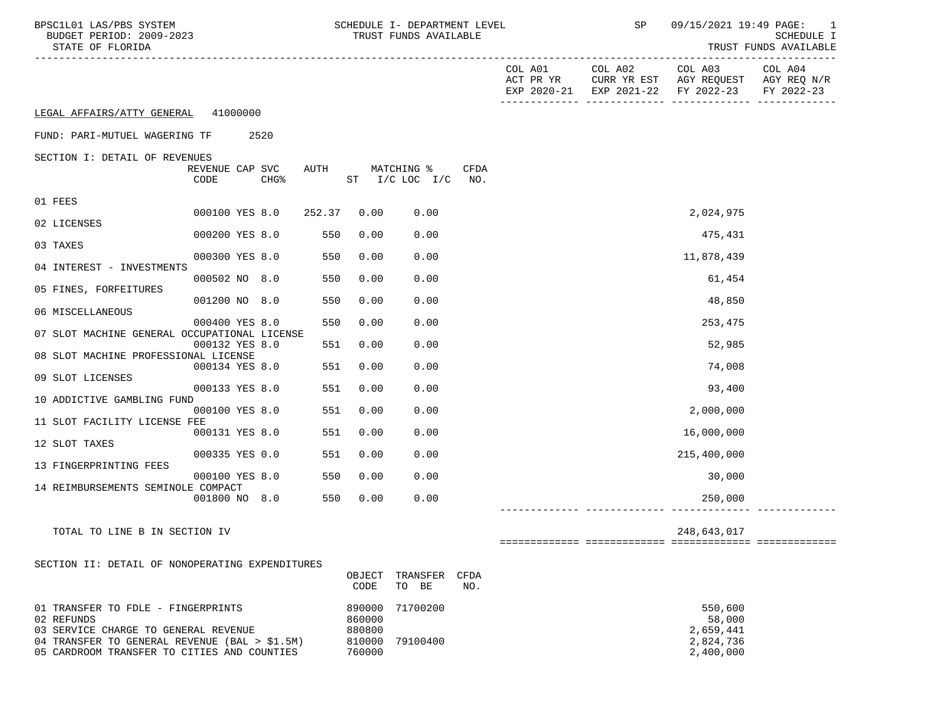| BPSC1L01 LAS/PBS SYSTEM<br>BUDGET PERIOD: 2009-2023<br>STATE OF FLORIDA |                            |                  |      |                  | SCHEDULE I- DEPARTMENT LEVEL<br>TRUST FUNDS AVAILABLE |             | SP |                                                                                                                | 09/15/2021 19:49 PAGE: 1<br>SCHEDULE I<br>TRUST FUNDS AVAILABLE |
|-------------------------------------------------------------------------|----------------------------|------------------|------|------------------|-------------------------------------------------------|-------------|----|----------------------------------------------------------------------------------------------------------------|-----------------------------------------------------------------|
|                                                                         |                            |                  |      |                  |                                                       |             |    | COL A01 COL A02 COL A03<br>ACT PR YR CURR YR EST AGY REQUEST AGY REQ N/R<br>EXP 2020-21 EXP 2021-22 FY 2022-23 | COL A04<br>FY 2022-23                                           |
| LEGAL AFFAIRS/ATTY GENERAL 41000000                                     |                            |                  |      |                  |                                                       |             |    |                                                                                                                |                                                                 |
| FUND: PARI-MUTUEL WAGERING TF 2520                                      |                            |                  |      |                  |                                                       |             |    |                                                                                                                |                                                                 |
| SECTION I: DETAIL OF REVENUES                                           |                            |                  |      |                  |                                                       |             |    |                                                                                                                |                                                                 |
|                                                                         | REVENUE CAP SVC<br>CODE    | CHG <sup>8</sup> | AUTH |                  | MATCHING %<br>ST I/C LOC I/C                          | CFDA<br>NO. |    |                                                                                                                |                                                                 |
| 01 FEES                                                                 |                            |                  |      |                  |                                                       |             |    |                                                                                                                |                                                                 |
| 02 LICENSES                                                             | 000100 YES 8.0 252.37 0.00 |                  |      |                  | 0.00                                                  |             |    | 2,024,975                                                                                                      |                                                                 |
|                                                                         | 000200 YES 8.0             |                  | 550  | 0.00             | 0.00                                                  |             |    | 475,431                                                                                                        |                                                                 |
| 03 TAXES                                                                | 000300 YES 8.0             |                  | 550  | 0.00             | 0.00                                                  |             |    | 11,878,439                                                                                                     |                                                                 |
| 04 INTEREST - INVESTMENTS                                               | 000502 NO 8.0              |                  | 550  | 0.00             | 0.00                                                  |             |    | 61,454                                                                                                         |                                                                 |
| 05 FINES, FORFEITURES                                                   |                            |                  |      |                  |                                                       |             |    |                                                                                                                |                                                                 |
| 06 MISCELLANEOUS                                                        | 001200 NO 8.0              |                  | 550  | 0.00             | 0.00                                                  |             |    | 48,850                                                                                                         |                                                                 |
|                                                                         | 000400 YES 8.0             |                  | 550  | 0.00             | 0.00                                                  |             |    | 253,475                                                                                                        |                                                                 |
| 07 SLOT MACHINE GENERAL OCCUPATIONAL LICENSE                            | 000132 YES 8.0             |                  | 551  | 0.00             | 0.00                                                  |             |    | 52,985                                                                                                         |                                                                 |
| 08 SLOT MACHINE PROFESSIONAL LICENSE                                    |                            |                  |      |                  |                                                       |             |    |                                                                                                                |                                                                 |
| 09 SLOT LICENSES                                                        | 000134 YES 8.0             |                  | 551  | 0.00             | 0.00                                                  |             |    | 74,008                                                                                                         |                                                                 |
|                                                                         | 000133 YES 8.0             |                  | 551  | 0.00             | 0.00                                                  |             |    | 93,400                                                                                                         |                                                                 |
| 10 ADDICTIVE GAMBLING FUND                                              | 000100 YES 8.0             |                  | 551  | 0.00             | 0.00                                                  |             |    | 2,000,000                                                                                                      |                                                                 |
| 11 SLOT FACILITY LICENSE FEE                                            |                            |                  |      |                  |                                                       |             |    |                                                                                                                |                                                                 |
| 12 SLOT TAXES                                                           | 000131 YES 8.0             |                  | 551  | 0.00             | 0.00                                                  |             |    | 16,000,000                                                                                                     |                                                                 |
|                                                                         | 000335 YES 0.0             |                  | 551  | 0.00             | 0.00                                                  |             |    | 215,400,000                                                                                                    |                                                                 |
| 13 FINGERPRINTING FEES                                                  | 000100 YES 8.0             |                  | 550  | 0.00             | 0.00                                                  |             |    | 30,000                                                                                                         |                                                                 |
| 14 REIMBURSEMENTS SEMINOLE COMPACT                                      |                            |                  |      |                  |                                                       |             |    |                                                                                                                |                                                                 |
|                                                                         | 001800 NO 8.0              |                  | 550  | 0.00             | 0.00                                                  |             |    | 250,000                                                                                                        |                                                                 |
| TOTAL TO LINE B IN SECTION IV                                           |                            |                  |      |                  |                                                       |             |    | 248,643,017                                                                                                    |                                                                 |
|                                                                         |                            |                  |      |                  |                                                       |             |    |                                                                                                                |                                                                 |
| SECTION II: DETAIL OF NONOPERATING EXPENDITURES                         |                            |                  |      |                  |                                                       |             |    |                                                                                                                |                                                                 |
|                                                                         |                            |                  |      | OBJECT<br>CODE   | TRANSFER<br>TO BE                                     | CFDA<br>NO. |    |                                                                                                                |                                                                 |
| 01 TRANSFER TO FDLE - FINGERPRINTS<br>02 REFUNDS                        |                            |                  |      | 890000<br>860000 | 71700200                                              |             |    | 550,600<br>58,000                                                                                              |                                                                 |
| 03 SERVICE CHARGE TO GENERAL REVENUE                                    |                            |                  |      | 880800           |                                                       |             |    | 2,659,441                                                                                                      |                                                                 |

 04 TRANSFER TO GENERAL REVENUE (BAL > \$1.5M) 810000 79100400 2,824,736 05 CARDROOM TRANSFER TO CITIES AND COUNTIES 760000 2,400,000